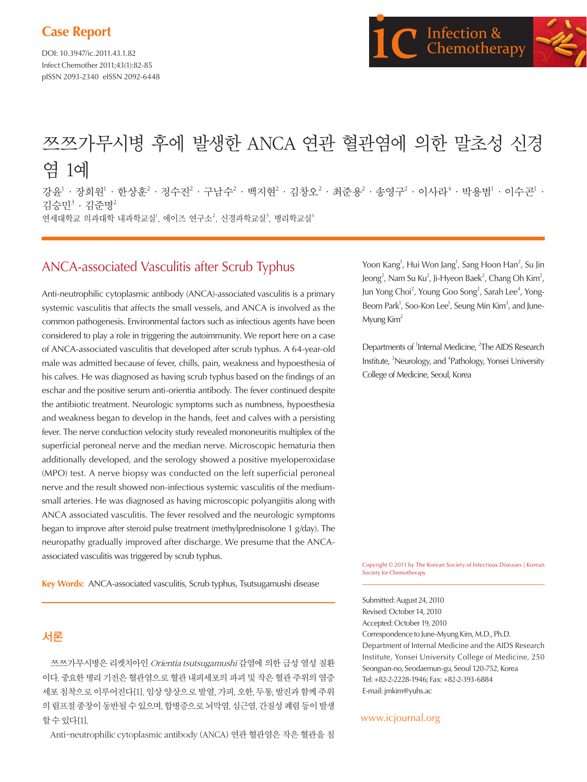# **Case Report**

DOI: 10.3947/ic.2011.43.1.82 Infect Chemother 2011;43(1):82-85 pISSN 2093-2340 eISSN 2092-6448



# 쯔쯔가무시병 후에 발생한 ANCA 연관 혈관염에 의한 말초성 신경 염 1예

강윤<sup>1</sup> · 장희원<sup>1</sup> · 한상훈<sup>2</sup> · 정수진<sup>2</sup> · 구남수<sup>2</sup> · 백지현<sup>2</sup> · 김창오<sup>2</sup> · 최준용<sup>2</sup> · 송영구<sup>2</sup> · 이사라<sup>4</sup> · 박용범<sup>1</sup> · 이수곤<sup>1</sup> · 김승민3 · 김준명2 연세대학교 의과대학 내과학교실', 에이즈 연구소<sup>2</sup>, 신경과학교실<sup>3</sup>, 병리학교실<sup>4</sup>

# ANCA-associated Vasculitis after Scrub Typhus

Anti-neutrophilic cytoplasmic antibody (ANCA)-associated vasculitis is a primary systemic vasculitis that affects the small vessels, and ANCA is involved as the common pathogenesis. Environmental factors such as infectious agents have been considered to play a role in triggering the autoimmunity. We report here on a case of ANCA-associated vasculitis that developed after scrub typhus. A 64-year-old male was admitted because of fever, chills, pain, weakness and hypoesthesia of his calves. He was diagnosed as having scrub typhus based on the findings of an eschar and the positive serum anti-orientia antibody. The fever continued despite the antibiotic treatment. Neurologic symptoms such as numbness, hypoesthesia and weakness began to develop in the hands, feet and calves with a persisting fever. The nerve conduction velocity study revealed mononeuritis multiplex of the superficial peroneal nerve and the median nerve. Microscopic hematuria then additionally developed, and the serology showed a positive myeloperoxidase (MPO) test. A nerve biopsy was conducted on the left superficial peroneal nerve and the result showed non-infectious systemic vasculitis of the mediumsmall arteries. He was diagnosed as having microscopic polyangiitis along with ANCA associated vasculitis. The fever resolved and the neurologic symptoms began to improve after steroid pulse treatment (methylprednisolone 1 g/day). The neuropathy gradually improved after discharge. We presume that the ANCAassociated vasculitis was triggered by scrub typhus.

**Key Words:** ANCA-associated vasculitis, Scrub typhus, Tsutsugamushi disease

## 서론

쯔쯔가무시병은 리켓치아인 Orientia tsutsugamushi 감염에 의한 급성 열성 질환 이다. 중요한 병리 기전은 혈관염으로 혈관 내피세포의 파괴 및 작은 혈관 주위의 염증 세포 침착으로 이루어진다[1]. 임상 양상으로 발열, 가피, 오한, 두통, 발진과 함께 주위 의 림프절 종창이 동반될 수 있으며, 합병증으로 뇌막염, 심근염, 간질성 폐렴 등이 발생 할 수 있다[1].

Anti-neutrophilic cytoplasmic antibody (ANCA) 연관 혈관염은 작은 혈관을 침

Yoon Kang<sup>1</sup>, Hui Won Jang<sup>1</sup>, Sang Hoon Han<sup>2</sup>, Su Jin Jeong<sup>2</sup>, Nam Su Ku<sup>2</sup>, Ji-Hyeon Baek<sup>2</sup>, Chang Oh Kim<sup>2</sup>, Jun Yong Choi<sup>2</sup>, Young Goo Song<sup>2</sup>, Sarah Lee<sup>4</sup>, Yong-Beom Park<sup>1</sup>, Soo-Kon Lee<sup>1</sup>, Seung Min Kim<sup>3</sup>, and June-Myung Kim<sup>2</sup>

Departments of <sup>1</sup>Internal Medicine, <sup>2</sup>The AIDS Research Institute, <sup>3</sup>Neurology, and <sup>4</sup>Pathology, Yonsei University College of Medicine, Seoul, Korea

Copyright © 2011 by The Korean Society of Infectious Diseases | Korean Society for Chemotherapy

Submitted: August 24, 2010 Revised: October 14, 2010 Accepted: October 19, 2010 Correspondence to June-Myung Kim, M.D., Ph.D. Department of Internal Medicine and the AIDS Research Institute, Yonsei University College of Medicine, 250 Seongsan-no, Seodaemun-gu, Seoul 120-752, Korea Tel: +82-2-2228-1946; Fax: +82-2-393-6884 E-mail: jmkim@yuhs.ac

#### www.icjournal.org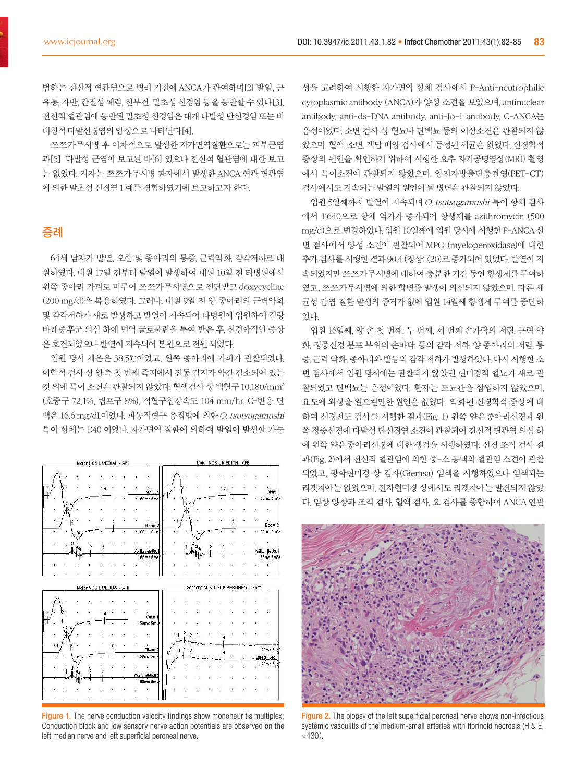범하는 전신적 혈관염으로 병리 기전에 ANCA가 관여하며[2] 발열, 근 육통, 자반, 간질성 폐렴, 신부전, 말초성 신경염 등을 동반할 수 있다[3]. 전신적 혈관염에 동반된 말초성 신경염은 대개 다발성 단신경염 또는 비 대칭적 다발신경염의 양상으로 나타난다[4].

쯔쯔가무시병 후 이차적으로 발생한 자가면역질환으로는 피부근염 과[5] 다발성 근염이 보고된 바[6] 있으나 전신적 혈관염에 대한 보고 는 없었다. 저자는 쯔쯔가무시병 환자에서 발생한 ANCA 연관 혈관염 에 의한 말초성 신경염 1 예를 경험하였기에 보고하고자 한다.

## 증례

64세 남자가 발열, 오한 및 종아리의 통증, 근력약화, 감각저하로 내 원하였다. 내원 17일 전부터 발열이 발생하여 내원 10일 전 타병원에서 왼쪽 종아리 가피로 미루어 쯔쯔가무시병으로 진단받고 doxycycline (200 mg/d)을 복용하였다. 그러나, 내원 9일 전 양 종아리의 근력약화 및 감각저하가 새로 발생하고 발열이 지속되어 타병원에 입원하여 길랑 바레증후군 의심 하에 면역 글로불린을 투여 받은 후, 신경학적인 증상 은 호전되었으나 발열이 지속되어 본원으로 전원 되었다.

입원 당시 체온은 38.5℃이었고, 왼쪽 종아리에 가피가 관찰되었다. 이학적 검사 상 양측 첫 번째 족지에서 진동 감지가 약간 감소되어 있는 것 외에 특이 소견은 관찰되지 않았다. 혈액검사 상 백혈구 10,180/mm3 (호중구 72.1%, 림프구 8%), 적혈구침강속도 104 mm/hr, C-반응 단 백은 16.6 mg/dL이었다. 피동적혈구 응집법에 의한 O. tsutsugamushi 특이 항체는 1:40 이었다. 자가면역 질환에 의하여 발열이 발생할 가능



Figure 1. The nerve conduction velocity findings show mononeuritis multiplex; Conduction block and low sensory nerve action potentials are observed on the left median nerve and left superficial peroneal nerve.

성을 고려하여 시행한 자가면역 항체 검사에서 P-Anti-neutrophilic cytoplasmic antibody (ANCA)가 양성 소견을 보였으며, antinuclear antibody, anti-ds-DNA antibody, anti-Jo-1 antibody, C-ANCA는 음성이었다. 소변 검사 상 혈뇨나 단백뇨 등의 이상소견은 관찰되지 않 았으며, 혈액, 소변, 객담 배양 검사에서 동정된 세균은 없었다. 신경학적 증상의 원인을 확인하기 위하여 시행한 요추 자기공명영상(MRI) 촬영 에서 특이소견이 관찰되지 않았으며, 양전자방출단층촬영(PET-CT) 검사에서도 지속되는 발열의 원인이 될 병변은 관찰되지 않았다.

입원 5일째까지 발열이 지속되며 O. tsutsugamushi 특이 항체 검사 에서 1:640으로 항체 역가가 증가되어 항생제를 azithromycin (500 mg/d)으로 변경하였다. 입원 10일째에 입원 당시에 시행한 P-ANCA 선 별 검사에서 양성 소견이 관찰되어 MPO (myeloperoxidase)에 대한 추가 검사를 시행한 결과 90.4 (정상: <20)로 증가되어 있었다. 발열이 지 속되었지만 쯔쯔가무시병에 대하여 충분한 기간 동안 항생제를 투여하 였고, 쯔쯔가무시병에 의한 합병증 발생이 의심되지 않았으며, 다른 세 균성 감염 질환 발생의 증거가 없어 입원 14일째 항생제 투여를 중단하 였다.

입원 16일째, 양 손 첫 번째, 두 번째, 세 번째 손가락의 저림, 근력 약 화, 정중신경 분포 부위의 손바닥, 등의 감각 저하, 양 종아리의 저림, 통 증, 근력 약화, 종아리와 발등의 감각 저하가 발생하였다. 다시 시행한 소 변 검사에서 입원 당시에는 관찰되지 않았던 현미경적 혈뇨가 새로 관 찰되었고 단백뇨는 음성이었다. 환자는 도뇨관을 삽입하지 않았으며, 요도에 외상을 일으킬만한 원인은 없었다. 악화된 신경학적 증상에 대 하여 신경전도 검사를 시행한 결과(Fig. 1) 왼쪽 얕은종아리신경과 왼 쪽 정중신경에 다발성 단신경염 소견이 관찰되어 전신적 혈관염 의심 하 에 왼쪽 얕은종아리신경에 대한 생검을 시행하였다. 신경 조직 검사 결 과(Fig. 2)에서 전신적 혈관염에 의한 중-소 동맥의 혈관염 소견이 관찰 되었고, 광학현미경 상 김자(Giemsa) 염색을 시행하였으나 염색되는 리켓치아는 없었으며, 전자현미경 상에서도 리켓치아는 발견되지 않았 다. 임상 양상과 조직 검사, 혈액 검사, 요 검사를 종합하여 ANCA 연관



Figure 2. The biopsy of the left superficial peroneal nerve shows non-infectious systemic vasculitis of the medium-small arteries with fibrinoid necrosis (H & E, ×430).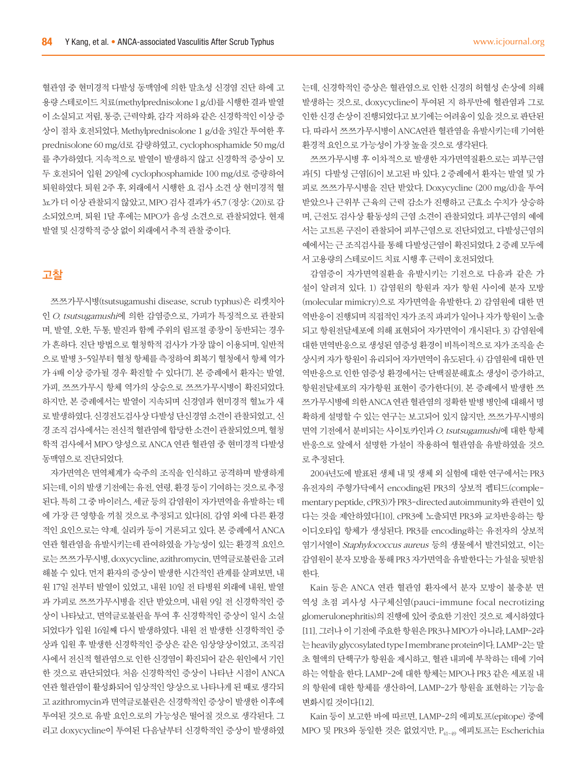혈관염 중 현미경적 다발성 동맥염에 의한 말초성 신경염 진단 하에 고 용량 스테로이드 치료(methylprednisolone 1 g/d)를 시행한 결과 발열 이 소실되고 저림, 통증, 근력약화, 감각 저하와 같은 신경학적인 이상 증 상이 점차 호전되었다. Methylprednisolone 1 g/d을 3일간 투여한 후 prednisolone 60 mg/d로 감량하였고, cyclophosphamide 50 mg/d 를 추가하였다. 지속적으로 발열이 발생하지 않고 신경학적 증상이 모 두 호전되어 입원 29일에 cyclophosphamide 100 mg/d로 증량하여 퇴원하였다. 퇴원 2주 후, 외래에서 시행한 요 검사 소견 상 현미경적 혈 뇨가 더 이상 관찰되지 않았고, MPO 검사 결과가 45.7 (정상: <20)로 감 소되었으며, 퇴원 1달 후에는 MPO가 음성 소견으로 관찰되었다. 현재 발열 및 신경학적 증상 없이 외래에서 추적 관찰 중이다.

### 고찰

쯔쯔가무시병(tsutsugamushi disease, scrub typhus)은 리켓치아 인 O. tsutsugamushi에 의한 감염증으로, 가피가 특징적으로 관찰되 며, 발열, 오한, 두통, 발진과 함께 주위의 림프절 종창이 동반되는 경우 가 흔하다. 진단 방법으로 혈청학적 검사가 가장 많이 이용되며, 일반적 으로 발병 3-5일부터 혈청 항체를 측정하여 회복기 혈청에서 항체 역가 가 4배 이상 증가될 경우 확진할 수 있다[7]. 본 증례에서 환자는 발열, 가피, 쯔쯔가무시 항체 역가의 상승으로 쯔쯔가무시병이 확진되었다. 하지만, 본 증례에서는 발열이 지속되며 신경염과 현미경적 혈뇨가 새 로 발생하였다. 신경전도검사상 다발성 단신경염 소견이 관찰되었고, 신 경 조직 검사에서는 전신적 혈관염에 합당한 소견이 관찰되었으며, 혈청 학적 검사에서 MPO 양성으로 ANCA 연관 혈관염 중 현미경적 다발성 동맥염으로 진단되었다.

자가면역은 면역체계가 숙주의 조직을 인식하고 공격하며 발생하게 되는데, 이의 발생 기전에는 유전, 연령, 환경 등이 기여하는 것으로 추정 된다. 특히 그 중 바이러스, 세균 등의 감염원이 자가면역을 유발하는 데 에 가장 큰 영향을 끼칠 것으로 추정되고 있다[8]. 감염 외에 다른 환경 적인 요인으로는 약제, 실리카 등이 거론되고 있다. 본 증례에서 ANCA 연관 혈관염을 유발시키는데 관여하였을 가능성이 있는 환경적 요인으 로는 쯔쯔가무시병, doxycycline, azithromycin, 면역글로불린을 고려 해볼 수 있다. 먼저 환자의 증상이 발생한 시간적인 관계를 살펴보면, 내 원 17일 전부터 발열이 있었고, 내원 10일 전 타병원 외래에 내원, 발열 과 가피로 쯔쯔가무시병을 진단 받았으며, 내원 9일 전 신경학적인 증 상이 나타났고, 면역글로불린을 투여 후 신경학적인 증상이 일시 소실 되었다가 입원 16일째 다시 발생하였다. 내원 전 발생한 신경학적인 증 상과 입원 후 발생한 신경학적인 증상은 같은 임상양상이었고, 조직검 사에서 전신적 혈관염으로 인한 신경염이 확진되어 같은 원인에서 기인 한 것으로 판단되었다. 처음 신경학적인 증상이 나타난 시점이 ANCA 연관 혈관염이 활성화되어 임상적인 양상으로 나타나게 된 때로 생각되 고 azithromycin과 면역글로불린은 신경학적인 증상이 발생한 이후에 투여된 것으로 유발 요인으로의 가능성은 떨어질 것으로 생각된다. 그 리고 doxycycline이 투여된 다음날부터 신경학적인 증상이 발생하였

는데, 신경학적인 증상은 혈관염으로 인한 신경의 허혈성 손상에 의해 발생하는 것으로, doxycycline이 투여된 지 하루만에 혈관염과 그로 인한 신경 손상이 진행되었다고 보기에는 어려움이 있을 것으로 판단된 다. 따라서 쯔쯔가무시병이 ANCA연관 혈관염을 유발시키는데 기여한 환경적 요인으로 가능성이 가장 높을 것으로 생각된다.

쯔쯔가무시병 후 이차적으로 발생한 자가면역질환으로는 피부근염 과[5] 다발성 근염[6]이 보고된 바 있다. 2 증례에서 환자는 발열 및 가 피로 쯔쯔가무시병을 진단 받았다. Doxycycline (200 mg/d)을 투여 받았으나 근위부 근육의 근력 감소가 진행하고 근효소 수치가 상승하 며, 근전도 검사상 활동성의 근염 소견이 관찰되었다. 피부근염의 예에 서는 고트론 구진이 관찰되어 피부근염으로 진단되었고, 다발성근염의 예에서는 근 조직검사를 통해 다발성근염이 확진되었다. 2 증례 모두에 서 고용량의 스테로이드 치료 시행 후 근력이 호전되었다.

감염증이 자가면역질환을 유발시키는 기전으로 다음과 같은 가 설이 알려져 있다. 1) 감염원의 항원과 자가 항원 사이에 분자 모방 (molecular mimicry)으로 자가면역을 유발한다. 2) 감염원에 대한 면 역반응이 진행되며 직접적인 자가 조직 파괴가 일어나 자가 항원이 노출 되고 항원전달세포에 의해 표현되어 자가면역이 개시된다. 3) 감염원에 대한 면역반응으로 생성된 염증성 환경이 비특이적으로 자가 조직을 손 상시켜 자가 항원이 유리되어 자가면역이 유도된다. 4) 감염원에 대한 면 역반응으로 인한 염증성 환경에서는 단백질분해효소 생성이 증가하고, 항원전달세포의 자가항원 표현이 증가한다[9]. 본 증례에서 발생한 쯔 쯔가무시병에 의한 ANCA 연관 혈관염의 정확한 발병 병인에 대해서 명 확하게 설명할 수 있는 연구는 보고되어 있지 않지만, 쯔쯔가무시병의 면역 기전에서 분비되는 사이토카인과 O. tsutsugamushi에 대한 항체 반응으로 앞에서 설명한 가설이 작용하여 혈관염을 유발하였을 것으 로 추정된다.

2004년도에 발표된 생체 내 및 생체 외 실험에 대한 연구에서는 PR3 유전자의 주형가닥에서 encoding된 PR3의 상보적 펩티드(complementary peptide, cPR3)가 PR3-directed autoimmunity와 관련이 있 다는 것을 제안하였다[10]. cPR3에 노출되면 PR3와 교차반응하는 항 이디오타입 항체가 생성된다. PR3를 encoding하는 유전자의 상보적 염기서열이 Staphylococcus aureus 등의 생물에서 발견되었고, 이는 감염원이 분자 모방을 통해 PR3 자가면역을 유발한다는 가설을 뒷받침 한다.

Kain 등은 ANCA 연관 혈관염 환자에서 분자 모방이 불충분 면 역성 초점 괴사성 사구체신염(pauci-immune focal necrotizing glomerulonephritis)의 진행에 있어 중요한 기전인 것으로 제시하였다 [11]. 그러나 이 기전에 주요한 항원은 PR3나 MPO가 아니라, LAMP-2라 는 heavily glycosylated type I membrane protein이다. LAMP-2는 말 초 혈액의 단핵구가 항원을 제시하고, 혈관 내피에 부착하는 데에 기여 하는 역할을 한다. LAMP-2에 대한 항체는 MPO나 PR3 같은 세포질 내 의 항원에 대한 항체를 생산하여, LAMP-2가 항원을 표현하는 기능을 변화시킬 것이다[12].

Kain 등이 보고한 바에 따르면, LAMP-2의 에피토프(epitope) 중에 MPO 및 PR3와 동일한 것은 없었지만, P41-49 에피토프는 Escherichia